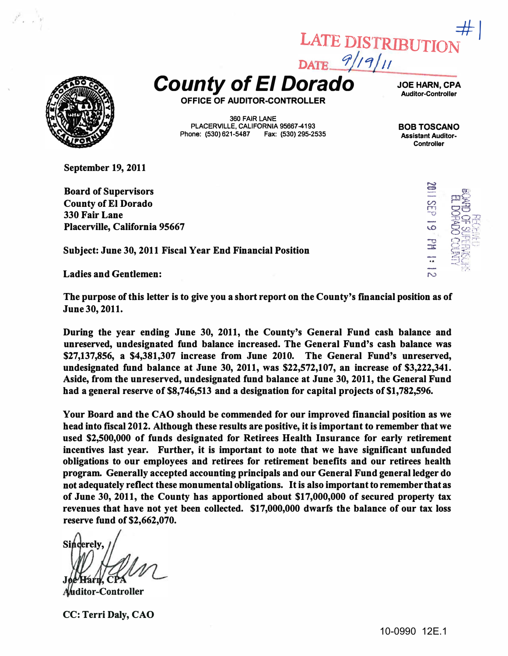

 $\sim$  1

 $\frac{9}{19}$ County of EI Dorado

\_ \_ \_ JOE HARN, CPA Auditor-Controller

 $\mathcal{F}$ 

LATE DISTRIBUTIO

OFFICE OF AUDITOR-CONTROLLER

360 FAIR LANE PLACERVILLE, CALIFORNIA 95667-4193 Phone: (530) 621-5487 Fax: (530) 295-2535

BOB TOSCANO Assistant Auditor· **Controller** 

-..

September 19, 2011

Board of Supervisors County of El Dorado 330 Fair Lane Placerville, California 95667

Subject: June 30, 2011 Fiscal Year End Financial Position

Ladies and Gentlemen:

The purpose of this letter is to give you a short report on the County's fmancial position as of June 30, 2011.

During the year ending June 30, 2011, the County's General Fund cash balance and unreserved, undesignated fund balance increased. The General Fund's cash balance was \$27,137,856, a \$4,381,307 increase from June 2010. The General Fund's unreserved, undesignated fund balance at June 30, 2011, was \$22,572,107, an increase of \$3,222,341. Aside, from the unreserved, undesignated fund balance at June 30, 2011, the General Fund had a general reserve of \$8,746,513 and a designation for capital projects of \$1,782,596.

Your Board and the CAO should be commended for our improved financial position as we head into fiscal 2012. Although these results are positive, it is important to remember that we used \$2,500,000 of funds designated for Retirees Health Insurance for early retirement incentives last year. Further, it is important to note that we have significant unfunded obligations to our employees and retirees for retirement benefits and our retirees health program. Generally accepted accounting principals and our General Fund general ledger do not adequately reflect these monumental obligations. It is also important to remember that as of June 30, 2011, the County has apportioned about \$17,000,000 of secured property tax revenues that have not yet been collected. \$17,000,000 dwarfs the balance of our tax loss reserve fund of \$2,662,070.

Sincerely. -Farn. C

**Auditor-Controller** 

CC: Terri Daly, CAO